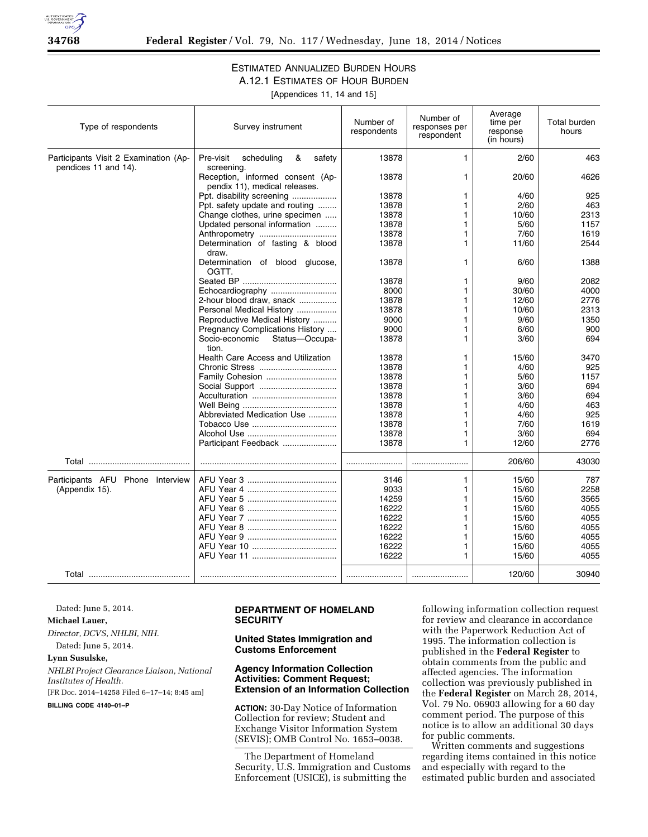

#### ESTIMATED ANNUALIZED BURDEN HOURS A.12.1 ESTIMATES OF HOUR BURDEN

[Appendices 11, 14 and 15]

| Type of respondents                                           | Survey instrument                                                 | Number of<br>respondents | Number of<br>responses per<br>respondent | Average<br>time per<br>response<br>(in hours) | Total burden<br>hours |
|---------------------------------------------------------------|-------------------------------------------------------------------|--------------------------|------------------------------------------|-----------------------------------------------|-----------------------|
| Participants Visit 2 Examination (Ap-<br>pendices 11 and 14). | Pre-visit<br>scheduling<br>&<br>safety<br>screening.              | 13878                    | 1                                        | 2/60                                          | 463                   |
|                                                               | Reception, informed consent (Ap-<br>pendix 11), medical releases. | 13878                    | 1                                        | 20/60                                         | 4626                  |
|                                                               | Ppt. disability screening                                         | 13878                    | 1                                        | 4/60                                          | 925                   |
|                                                               | Ppt. safety update and routing                                    | 13878                    | 1                                        | 2/60                                          | 463                   |
|                                                               | Change clothes, urine specimen                                    | 13878                    | 1                                        | 10/60                                         | 2313                  |
|                                                               | Updated personal information                                      | 13878                    | 1                                        | 5/60                                          | 1157                  |
|                                                               | Anthropometry                                                     | 13878                    | 1                                        | 7/60                                          | 1619                  |
|                                                               | Determination of fasting & blood<br>draw.                         | 13878                    | 1.                                       | 11/60                                         | 2544                  |
|                                                               | Determination of blood glucose,<br>OGTT.                          | 13878                    | 1                                        | 6/60                                          | 1388                  |
|                                                               |                                                                   | 13878                    | 1                                        | 9/60                                          | 2082                  |
|                                                               | Echocardiography                                                  | 8000                     | 1                                        | 30/60                                         | 4000                  |
|                                                               | 2-hour blood draw, snack                                          | 13878                    | 1                                        | 12/60                                         | 2776                  |
|                                                               | Personal Medical History                                          | 13878                    | 1                                        | 10/60                                         | 2313                  |
|                                                               | Reproductive Medical History                                      | 9000                     | 1                                        | 9/60                                          | 1350                  |
|                                                               | Pregnancy Complications History                                   | 9000                     | 1                                        | 6/60                                          | 900                   |
|                                                               | Socio-economic<br>Status-Occupa-<br>tion.                         | 13878                    | 1                                        | 3/60                                          | 694                   |
|                                                               | <b>Health Care Access and Utilization</b>                         | 13878                    | 1                                        | 15/60                                         | 3470                  |
|                                                               |                                                                   | 13878                    | 1                                        | 4/60                                          | 925                   |
|                                                               | Family Cohesion                                                   | 13878                    | 1                                        | 5/60                                          | 1157                  |
|                                                               |                                                                   | 13878                    | 1                                        | 3/60                                          | 694                   |
|                                                               |                                                                   | 13878                    | 1                                        | 3/60                                          | 694                   |
|                                                               |                                                                   | 13878                    | 1                                        | 4/60                                          | 463                   |
|                                                               | Abbreviated Medication Use                                        | 13878                    | 1                                        | 4/60                                          | 925                   |
|                                                               |                                                                   | 13878                    | 1                                        | 7/60                                          | 1619                  |
|                                                               |                                                                   | 13878                    | 1                                        | 3/60                                          | 694                   |
|                                                               | Participant Feedback                                              | 13878                    | 1                                        | 12/60                                         | 2776                  |
|                                                               |                                                                   |                          |                                          | 206/60                                        | 43030                 |
| Participants AFU Phone Interview                              |                                                                   | 3146                     | 1                                        | 15/60                                         | 787                   |
| (Appendix 15).                                                |                                                                   | 9033                     | 1                                        | 15/60                                         | 2258                  |
|                                                               |                                                                   | 14259                    |                                          | 15/60                                         | 3565                  |
|                                                               |                                                                   | 16222                    | 1                                        | 15/60                                         | 4055                  |
|                                                               |                                                                   | 16222                    | 1                                        | 15/60                                         | 4055                  |
|                                                               |                                                                   | 16222                    | 1                                        | 15/60                                         | 4055                  |
|                                                               |                                                                   | 16222                    | 1                                        | 15/60                                         | 4055                  |
|                                                               |                                                                   | 16222                    | 1                                        | 15/60                                         | 4055                  |
|                                                               |                                                                   | 16222                    | 1                                        | 15/60                                         | 4055                  |
|                                                               |                                                                   |                          |                                          | 120/60                                        | 30940                 |

Dated: June 5, 2014.

### **Michael Lauer,**

*Director, DCVS, NHLBI, NIH.* 

# Dated: June 5, 2014.

## **Lynn Susulske,**

*NHLBI Project Clearance Liaison, National Institutes of Health.* 

[FR Doc. 2014–14258 Filed 6–17–14; 8:45 am]

**BILLING CODE 4140–01–P** 

#### **DEPARTMENT OF HOMELAND SECURITY**

#### **United States Immigration and Customs Enforcement**

#### **Agency Information Collection Activities: Comment Request; Extension of an Information Collection**

**ACTION:** 30-Day Notice of Information Collection for review; Student and Exchange Visitor Information System (SEVIS); OMB Control No. 1653–0038.

The Department of Homeland Security, U.S. Immigration and Customs Enforcement (USICE), is submitting the

following information collection request for review and clearance in accordance with the Paperwork Reduction Act of 1995. The information collection is published in the **Federal Register** to obtain comments from the public and affected agencies. The information collection was previously published in the **Federal Register** on March 28, 2014, Vol. 79 No. 06903 allowing for a 60 day comment period. The purpose of this notice is to allow an additional 30 days for public comments.

Written comments and suggestions regarding items contained in this notice and especially with regard to the estimated public burden and associated